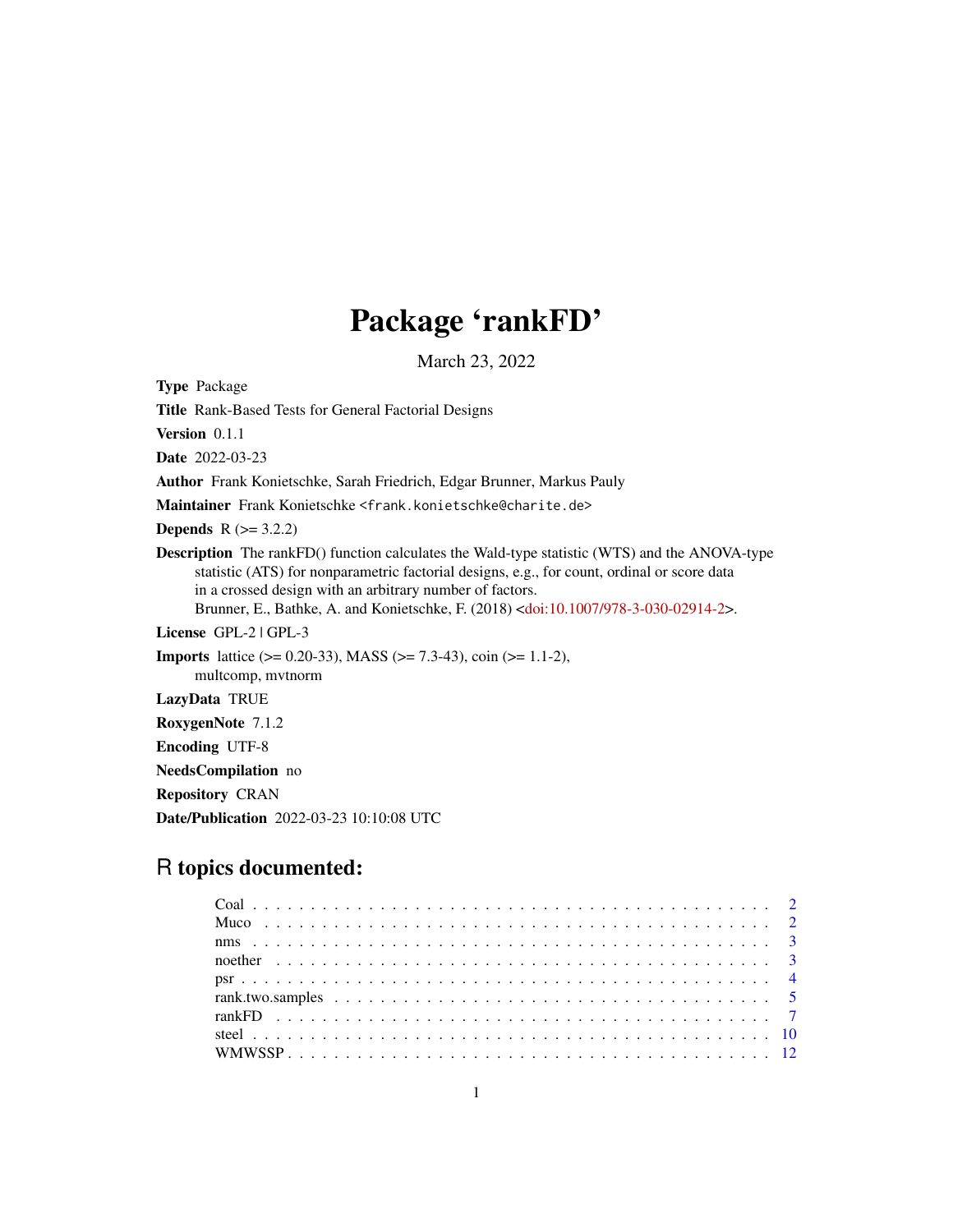## Package 'rankFD'

March 23, 2022

<span id="page-0-0"></span>Type Package

Title Rank-Based Tests for General Factorial Designs

Version 0.1.1

Date 2022-03-23

Author Frank Konietschke, Sarah Friedrich, Edgar Brunner, Markus Pauly

Maintainer Frank Konietschke <frank.konietschke@charite.de>

**Depends**  $R (= 3.2.2)$ 

Description The rankFD() function calculates the Wald-type statistic (WTS) and the ANOVA-type statistic (ATS) for nonparametric factorial designs, e.g., for count, ordinal or score data in a crossed design with an arbitrary number of factors. Brunner, E., Bathke, A. and Konietschke, F. (2018) [<doi:10.1007/978-3-030-02914-2>](https://doi.org/10.1007/978-3-030-02914-2).

License GPL-2 | GPL-3

**Imports** lattice ( $> = 0.20-33$ ), MASS ( $> = 7.3-43$ ), coin ( $> = 1.1-2$ ), multcomp, mvtnorm

LazyData TRUE

RoxygenNote 7.1.2

Encoding UTF-8

NeedsCompilation no

Repository CRAN

Date/Publication 2022-03-23 10:10:08 UTC

### R topics documented: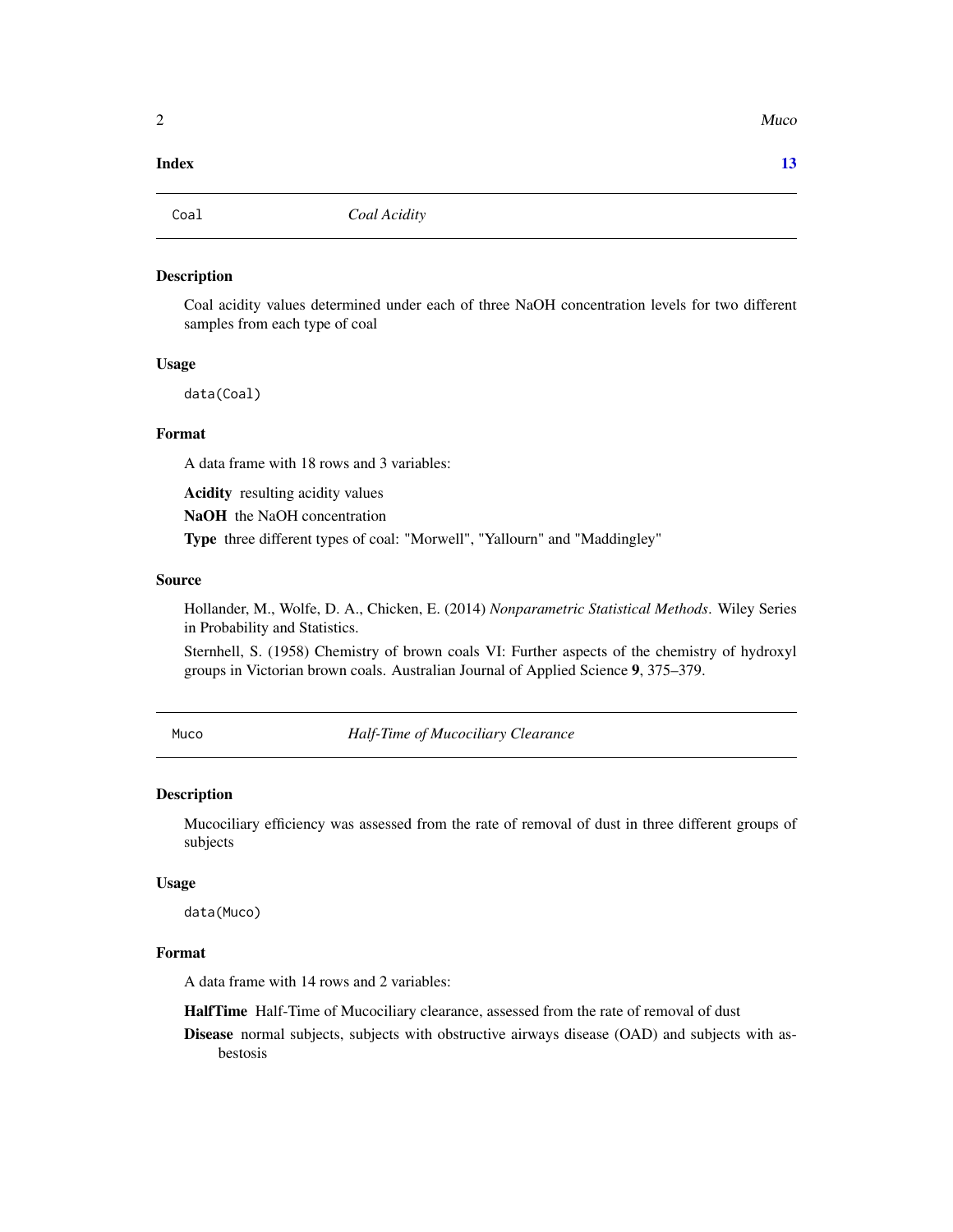#### <span id="page-1-0"></span>**Index** [13](#page-12-0)

Coal *Coal Acidity*

#### Description

Coal acidity values determined under each of three NaOH concentration levels for two different samples from each type of coal

#### Usage

data(Coal)

#### Format

A data frame with 18 rows and 3 variables:

Acidity resulting acidity values

NaOH the NaOH concentration

Type three different types of coal: "Morwell", "Yallourn" and "Maddingley"

#### Source

Hollander, M., Wolfe, D. A., Chicken, E. (2014) *Nonparametric Statistical Methods*. Wiley Series in Probability and Statistics.

Sternhell, S. (1958) Chemistry of brown coals VI: Further aspects of the chemistry of hydroxyl groups in Victorian brown coals. Australian Journal of Applied Science 9, 375–379.

Muco *Half-Time of Mucociliary Clearance*

#### Description

Mucociliary efficiency was assessed from the rate of removal of dust in three different groups of subjects

#### Usage

data(Muco)

#### Format

A data frame with 14 rows and 2 variables:

HalfTime Half-Time of Mucociliary clearance, assessed from the rate of removal of dust

Disease normal subjects, subjects with obstructive airways disease (OAD) and subjects with asbestosis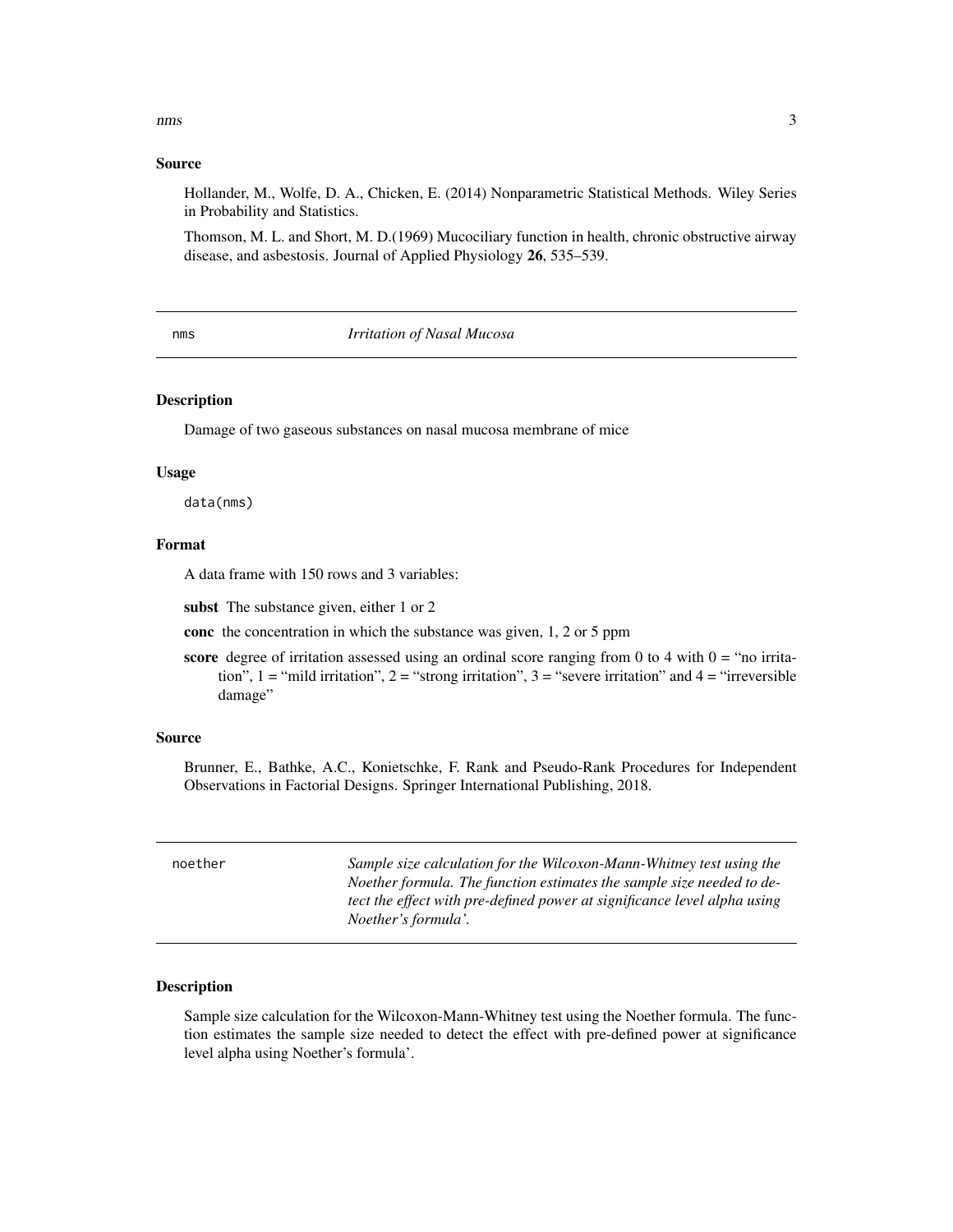#### <span id="page-2-0"></span>nms 3

#### Source

Hollander, M., Wolfe, D. A., Chicken, E. (2014) Nonparametric Statistical Methods. Wiley Series in Probability and Statistics.

Thomson, M. L. and Short, M. D.(1969) Mucociliary function in health, chronic obstructive airway disease, and asbestosis. Journal of Applied Physiology 26, 535–539.

#### nms *Irritation of Nasal Mucosa*

#### Description

Damage of two gaseous substances on nasal mucosa membrane of mice

#### Usage

data(nms)

#### Format

A data frame with 150 rows and 3 variables:

subst The substance given, either 1 or 2

conc the concentration in which the substance was given, 1, 2 or 5 ppm

score degree of irritation assessed using an ordinal score ranging from 0 to 4 with  $0 =$  "no irritation", 1 = "mild irritation", 2 = "strong irritation", 3 = "severe irritation" and 4 = "irreversible damage"

#### Source

Brunner, E., Bathke, A.C., Konietschke, F. Rank and Pseudo-Rank Procedures for Independent Observations in Factorial Designs. Springer International Publishing, 2018.

| noether | Sample size calculation for the Wilcoxon-Mann-Whitney test using the     |
|---------|--------------------------------------------------------------------------|
|         |                                                                          |
|         | Noether formula. The function estimates the sample size needed to de-    |
|         | tect the effect with pre-defined power at significance level alpha using |
|         | <i>Noether's formula'.</i>                                               |
|         |                                                                          |

#### Description

Sample size calculation for the Wilcoxon-Mann-Whitney test using the Noether formula. The function estimates the sample size needed to detect the effect with pre-defined power at significance level alpha using Noether's formula'.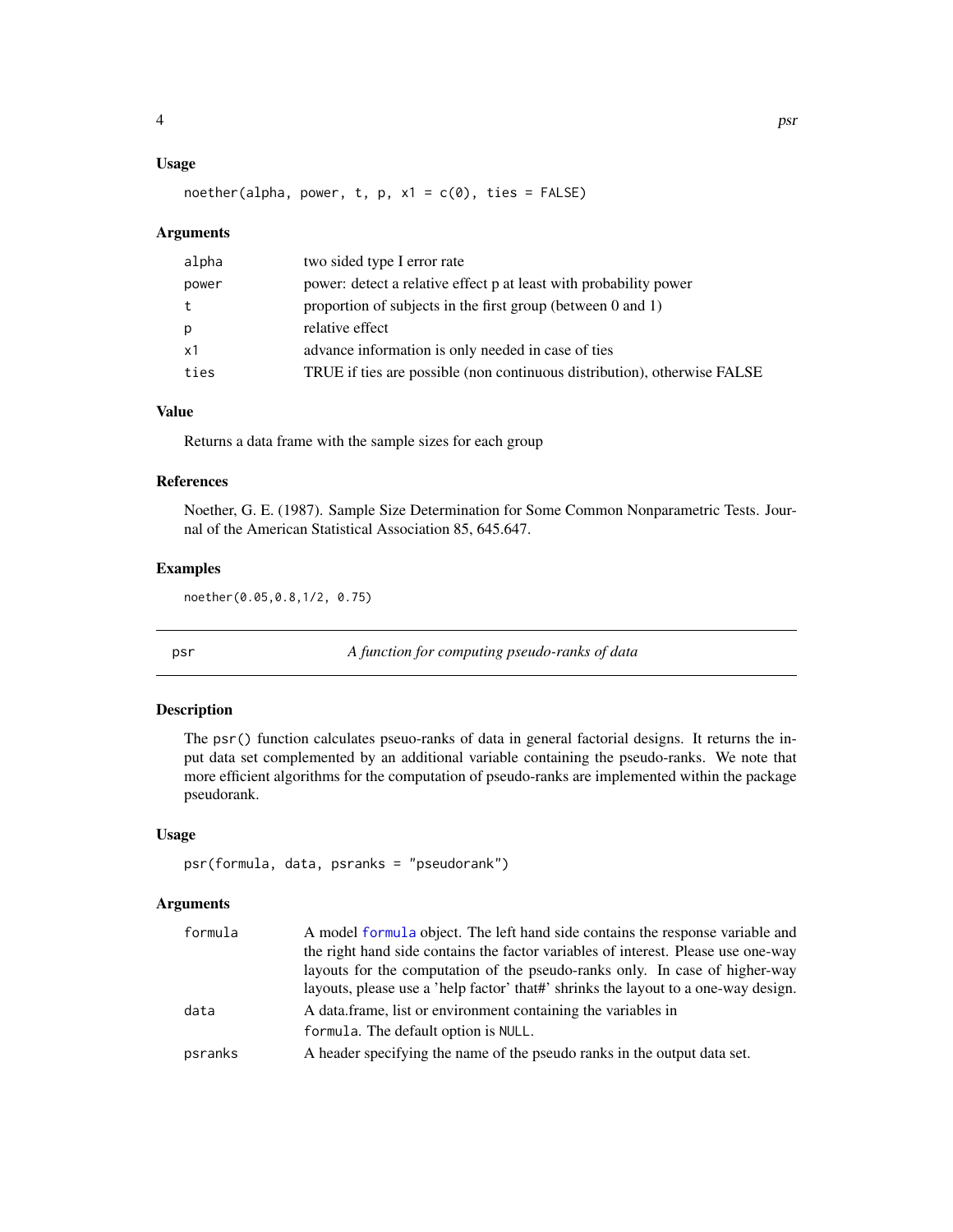#### <span id="page-3-0"></span>Usage

noether(alpha, power, t, p,  $x1 = c(0)$ , ties = FALSE)

#### Arguments

| alpha | two sided type I error rate                                              |
|-------|--------------------------------------------------------------------------|
| power | power: detect a relative effect p at least with probability power        |
|       | proportion of subjects in the first group (between $0$ and $1$ )         |
| p     | relative effect                                                          |
| x1    | advance information is only needed in case of ties                       |
| ties  | TRUE if ties are possible (non continuous distribution), otherwise FALSE |

#### Value

Returns a data frame with the sample sizes for each group

#### References

Noether, G. E. (1987). Sample Size Determination for Some Common Nonparametric Tests. Journal of the American Statistical Association 85, 645.647.

#### Examples

noether(0.05,0.8,1/2, 0.75)

psr *A function for computing pseudo-ranks of data*

#### Description

The psr() function calculates pseuo-ranks of data in general factorial designs. It returns the input data set complemented by an additional variable containing the pseudo-ranks. We note that more efficient algorithms for the computation of pseudo-ranks are implemented within the package pseudorank.

#### Usage

```
psr(formula, data, psranks = "pseudorank")
```
#### Arguments

| formula | A model formula object. The left hand side contains the response variable and      |
|---------|------------------------------------------------------------------------------------|
|         | the right hand side contains the factor variables of interest. Please use one-way  |
|         | layouts for the computation of the pseudo-ranks only. In case of higher-way        |
|         | layouts, please use a 'help factor' that#' shrinks the layout to a one-way design. |
| data    | A data frame, list or environment containing the variables in                      |
|         | formula. The default option is NULL.                                               |
| psranks | A header specifying the name of the pseudo ranks in the output data set.           |
|         |                                                                                    |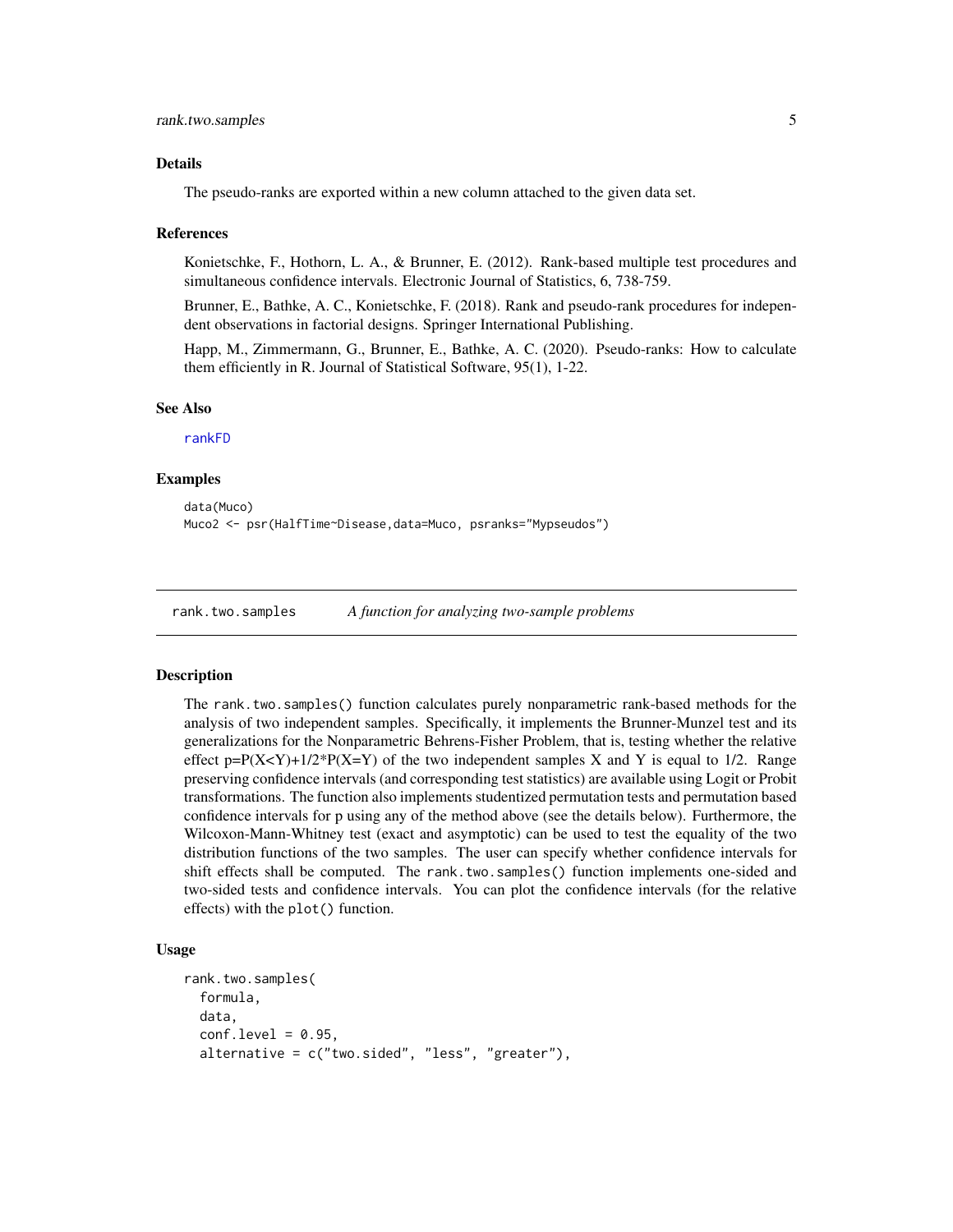#### <span id="page-4-0"></span>Details

The pseudo-ranks are exported within a new column attached to the given data set.

#### References

Konietschke, F., Hothorn, L. A., & Brunner, E. (2012). Rank-based multiple test procedures and simultaneous confidence intervals. Electronic Journal of Statistics, 6, 738-759.

Brunner, E., Bathke, A. C., Konietschke, F. (2018). Rank and pseudo-rank procedures for independent observations in factorial designs. Springer International Publishing.

Happ, M., Zimmermann, G., Brunner, E., Bathke, A. C. (2020). Pseudo-ranks: How to calculate them efficiently in R. Journal of Statistical Software, 95(1), 1-22.

#### See Also

[rankFD](#page-6-1)

#### Examples

```
data(Muco)
Muco2 <- psr(HalfTime~Disease,data=Muco, psranks="Mypseudos")
```
rank.two.samples *A function for analyzing two-sample problems*

#### Description

The rank.two.samples() function calculates purely nonparametric rank-based methods for the analysis of two independent samples. Specifically, it implements the Brunner-Munzel test and its generalizations for the Nonparametric Behrens-Fisher Problem, that is, testing whether the relative effect p= $P(X < Y)$ +1/2\* $P(X = Y)$  of the two independent samples X and Y is equal to 1/2. Range preserving confidence intervals (and corresponding test statistics) are available using Logit or Probit transformations. The function also implements studentized permutation tests and permutation based confidence intervals for p using any of the method above (see the details below). Furthermore, the Wilcoxon-Mann-Whitney test (exact and asymptotic) can be used to test the equality of the two distribution functions of the two samples. The user can specify whether confidence intervals for shift effects shall be computed. The rank.two.samples() function implements one-sided and two-sided tests and confidence intervals. You can plot the confidence intervals (for the relative effects) with the plot() function.

#### Usage

```
rank.two.samples(
  formula,
  data,
  conf<math>. level = 0.95,
  alternative = c("two.sided", "less", "greater"),
```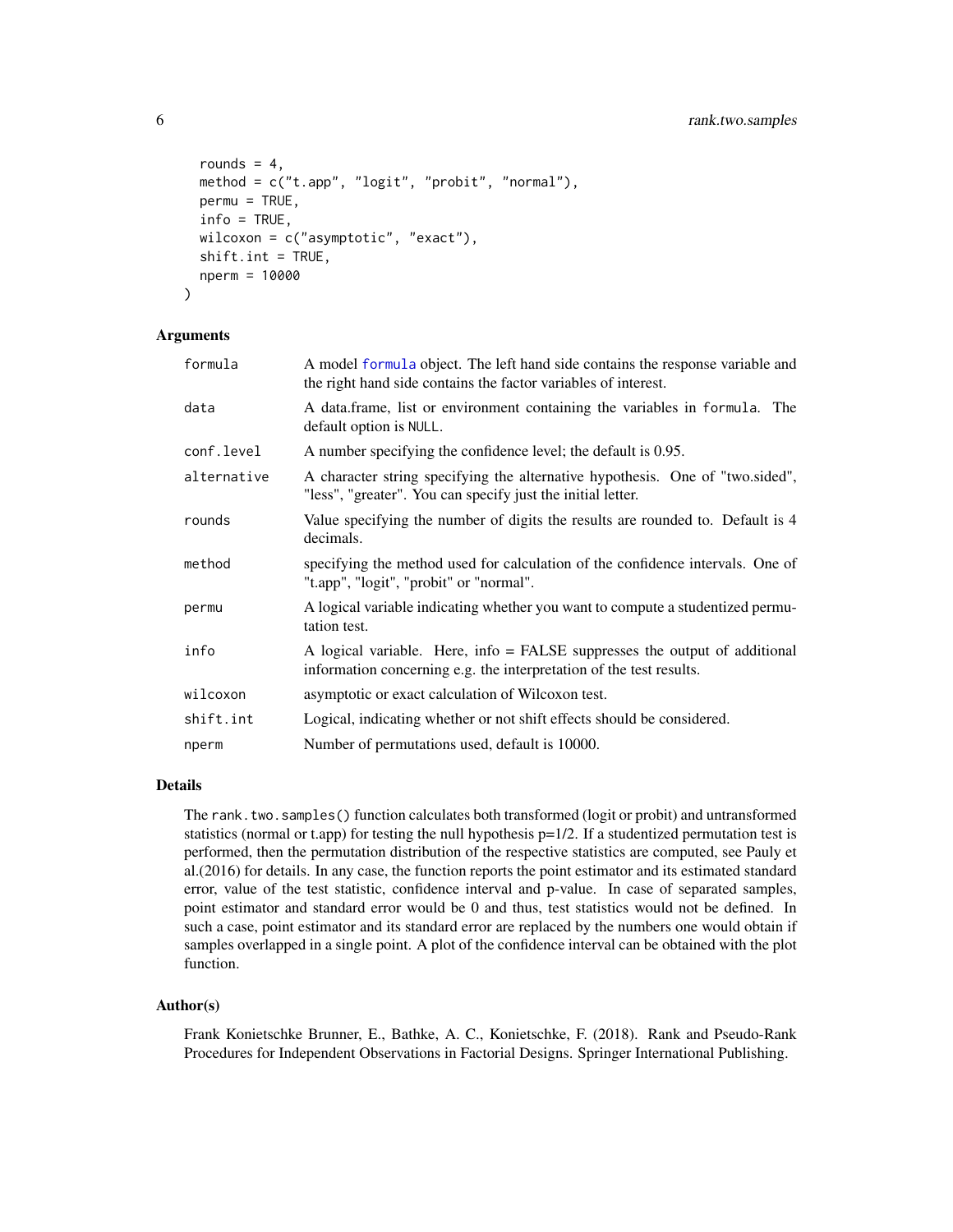```
rounds = 4,
 method = c("t.app", "logit", "probit", "normal"),
 permu = TRUE,info = TRUE,
  wilcoxon = c("asymptotic", "exact"),
  shift.int = TRUE,
  nperm = 10000
\lambda
```
#### Arguments

| formula     | A model formula object. The left hand side contains the response variable and<br>the right hand side contains the factor variables of interest.   |
|-------------|---------------------------------------------------------------------------------------------------------------------------------------------------|
| data        | A data frame, list or environment containing the variables in formula. The<br>default option is NULL.                                             |
| conf.level  | A number specifying the confidence level; the default is 0.95.                                                                                    |
| alternative | A character string specifying the alternative hypothesis. One of "two sided",<br>"less", "greater". You can specify just the initial letter.      |
| rounds      | Value specifying the number of digits the results are rounded to. Default is 4<br>decimals.                                                       |
| method      | specifying the method used for calculation of the confidence intervals. One of<br>"t.app", "logit", "probit" or "normal".                         |
| permu       | A logical variable indicating whether you want to compute a studentized permu-<br>tation test.                                                    |
| info        | A logical variable. Here, info = FALSE suppresses the output of additional<br>information concerning e.g. the interpretation of the test results. |
| wilcoxon    | asymptotic or exact calculation of Wilcoxon test.                                                                                                 |
| shift.int   | Logical, indicating whether or not shift effects should be considered.                                                                            |
| nperm       | Number of permutations used, default is 10000.                                                                                                    |

#### Details

The rank.two.samples() function calculates both transformed (logit or probit) and untransformed statistics (normal or t.app) for testing the null hypothesis  $p=1/2$ . If a studentized permutation test is performed, then the permutation distribution of the respective statistics are computed, see Pauly et al.(2016) for details. In any case, the function reports the point estimator and its estimated standard error, value of the test statistic, confidence interval and p-value. In case of separated samples, point estimator and standard error would be 0 and thus, test statistics would not be defined. In such a case, point estimator and its standard error are replaced by the numbers one would obtain if samples overlapped in a single point. A plot of the confidence interval can be obtained with the plot function.

#### Author(s)

Frank Konietschke Brunner, E., Bathke, A. C., Konietschke, F. (2018). Rank and Pseudo-Rank Procedures for Independent Observations in Factorial Designs. Springer International Publishing.

<span id="page-5-0"></span>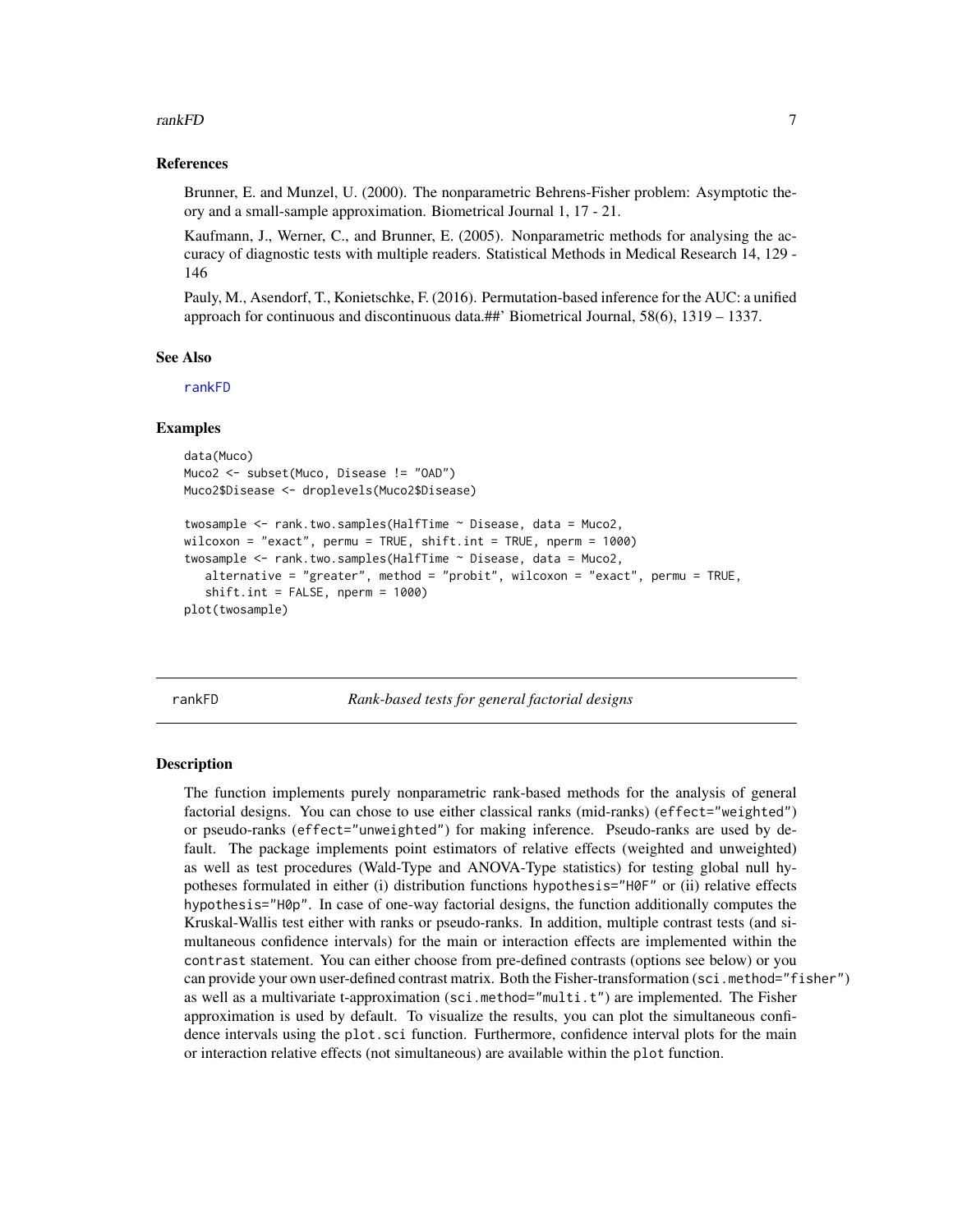#### <span id="page-6-0"></span>rankFD 7 and 7 and 7 and 7 and 7 and 7 and 7 and 7 and 7 and 7 and 7 and 7 and 7 and 7 and 7 and 7 and 7 and 7

#### References

Brunner, E. and Munzel, U. (2000). The nonparametric Behrens-Fisher problem: Asymptotic theory and a small-sample approximation. Biometrical Journal 1, 17 - 21.

Kaufmann, J., Werner, C., and Brunner, E. (2005). Nonparametric methods for analysing the accuracy of diagnostic tests with multiple readers. Statistical Methods in Medical Research 14, 129 - 146

Pauly, M., Asendorf, T., Konietschke, F. (2016). Permutation-based inference for the AUC: a unified approach for continuous and discontinuous data.##' Biometrical Journal, 58(6), 1319 – 1337.

#### See Also

[rankFD](#page-6-1)

#### Examples

```
data(Muco)
Muco2 <- subset(Muco, Disease != "OAD")
Muco2$Disease <- droplevels(Muco2$Disease)
```

```
twosample <- rank.two.samples(HalfTime ~ Disease, data = Muco2,
wilcoxon = "exact", permu = TRUE, shift.int = TRUE, nperm = 1000)
twosample <- rank.two.samples(HalfTime ~ Disease, data = Muco2,
  alternative = "greater", method = "probit", wilcoxon = "exact", permu = TRUE,
  shift.int = FALSE, <math>nperm = 1000</math>)plot(twosample)
```
<span id="page-6-1"></span>rankFD *Rank-based tests for general factorial designs*

#### **Description**

The function implements purely nonparametric rank-based methods for the analysis of general factorial designs. You can chose to use either classical ranks (mid-ranks) (effect="weighted") or pseudo-ranks (effect="unweighted") for making inference. Pseudo-ranks are used by default. The package implements point estimators of relative effects (weighted and unweighted) as well as test procedures (Wald-Type and ANOVA-Type statistics) for testing global null hypotheses formulated in either (i) distribution functions hypothesis="H0F" or (ii) relative effects hypothesis="H0p". In case of one-way factorial designs, the function additionally computes the Kruskal-Wallis test either with ranks or pseudo-ranks. In addition, multiple contrast tests (and simultaneous confidence intervals) for the main or interaction effects are implemented within the contrast statement. You can either choose from pre-defined contrasts (options see below) or you can provide your own user-defined contrast matrix. Both the Fisher-transformation (sci.method="fisher") as well as a multivariate t-approximation (sci.method="multi.t") are implemented. The Fisher approximation is used by default. To visualize the results, you can plot the simultaneous confidence intervals using the plot.sci function. Furthermore, confidence interval plots for the main or interaction relative effects (not simultaneous) are available within the plot function.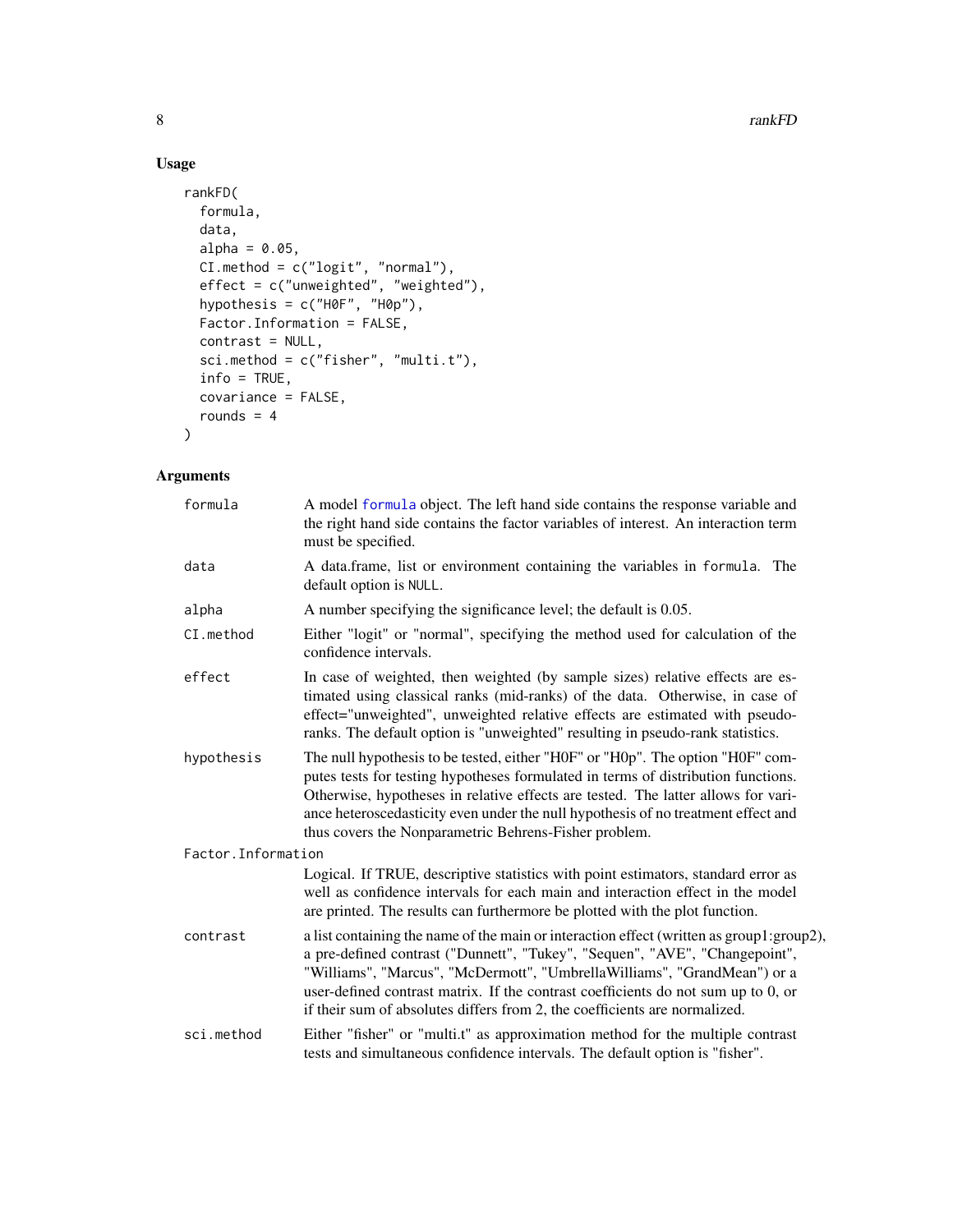#### Usage

```
rankFD(
 formula,
 data,
 alpha = 0.05,
 CI.method = c("logit", "normal"),
 effect = c("unweighted", "weighted"),
 hypothesis = c("H0F", "H0p"),
 Factor.Information = FALSE,
 contrast = NULL,
 sci.method = c("fisher", "multi.t"),
 info = TRUE,
 covariance = FALSE,
 rounds = 4)
```
#### Arguments

| formula             | A model formula object. The left hand side contains the response variable and<br>the right hand side contains the factor variables of interest. An interaction term<br>must be specified.                                                                                                                                                                                                                              |
|---------------------|------------------------------------------------------------------------------------------------------------------------------------------------------------------------------------------------------------------------------------------------------------------------------------------------------------------------------------------------------------------------------------------------------------------------|
| data                | A data.frame, list or environment containing the variables in formula. The<br>default option is NULL.                                                                                                                                                                                                                                                                                                                  |
| alpha               | A number specifying the significance level; the default is 0.05.                                                                                                                                                                                                                                                                                                                                                       |
| CI.method           | Either "logit" or "normal", specifying the method used for calculation of the<br>confidence intervals.                                                                                                                                                                                                                                                                                                                 |
| effect              | In case of weighted, then weighted (by sample sizes) relative effects are es-<br>timated using classical ranks (mid-ranks) of the data. Otherwise, in case of<br>effect="unweighted", unweighted relative effects are estimated with pseudo-<br>ranks. The default option is "unweighted" resulting in pseudo-rank statistics.                                                                                         |
| hypothesis          | The null hypothesis to be tested, either "H0F" or "H0p". The option "H0F" com-<br>putes tests for testing hypotheses formulated in terms of distribution functions.<br>Otherwise, hypotheses in relative effects are tested. The latter allows for vari-<br>ance heteroscedasticity even under the null hypothesis of no treatment effect and<br>thus covers the Nonparametric Behrens-Fisher problem.                 |
| Factor. Information |                                                                                                                                                                                                                                                                                                                                                                                                                        |
|                     | Logical. If TRUE, descriptive statistics with point estimators, standard error as<br>well as confidence intervals for each main and interaction effect in the model<br>are printed. The results can furthermore be plotted with the plot function.                                                                                                                                                                     |
| contrast            | a list containing the name of the main or interaction effect (written as group1:group2),<br>a pre-defined contrast ("Dunnett", "Tukey", "Sequen", "AVE", "Changepoint",<br>"Williams", "Marcus", "McDermott", "UmbrellaWilliams", "GrandMean") or a<br>user-defined contrast matrix. If the contrast coefficients do not sum up to 0, or<br>if their sum of absolutes differs from 2, the coefficients are normalized. |
| sci.method          | Either "fisher" or "multi.t" as approximation method for the multiple contrast<br>tests and simultaneous confidence intervals. The default option is "fisher".                                                                                                                                                                                                                                                         |

<span id="page-7-0"></span>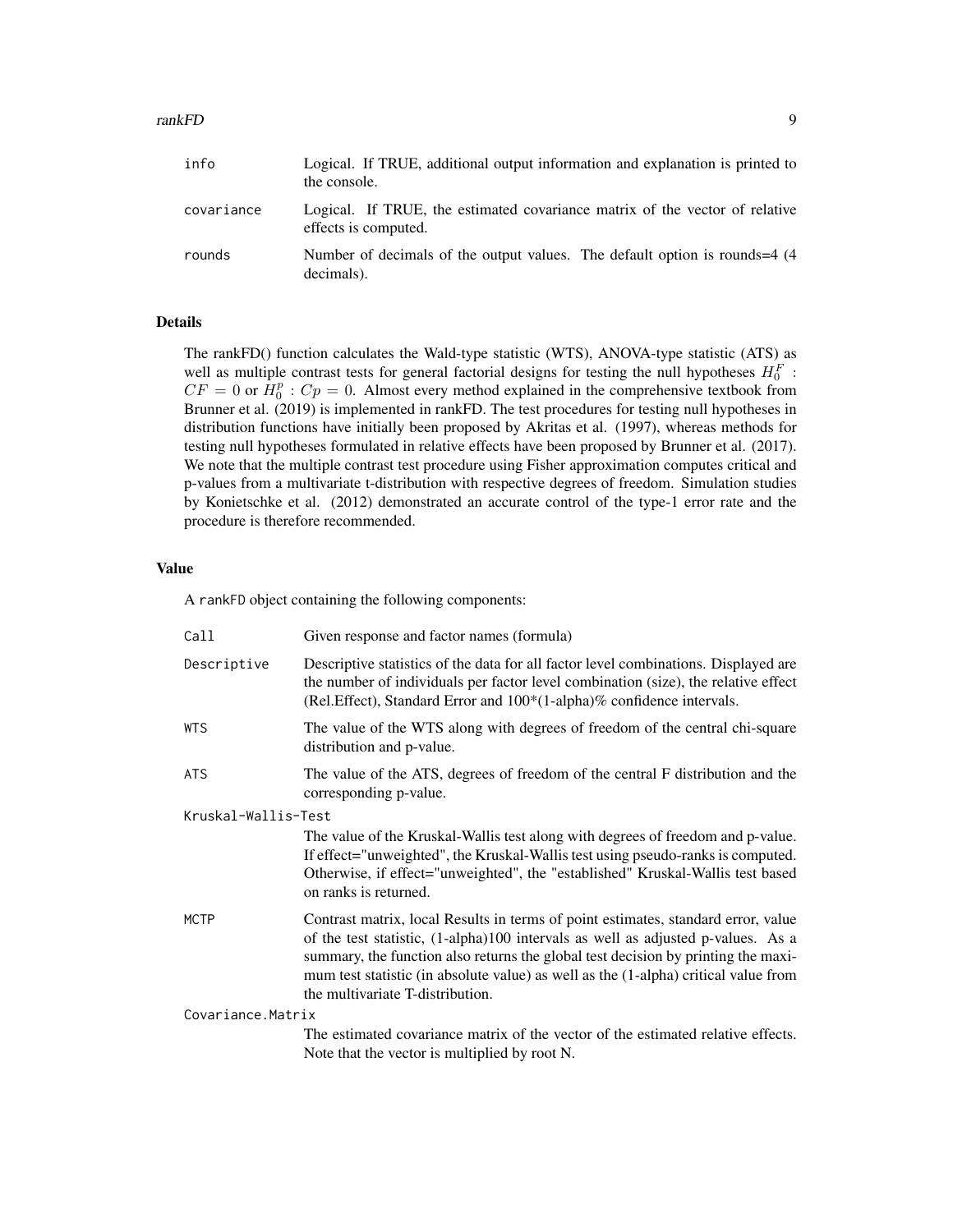#### rankFD 9

| covariance | Logical. If TRUE, the estimated covariance matrix of the vector of relative<br>effects is computed. |
|------------|-----------------------------------------------------------------------------------------------------|
| rounds     | Number of decimals of the output values. The default option is rounds=4 (4)                         |

#### Details

The rankFD() function calculates the Wald-type statistic (WTS), ANOVA-type statistic (ATS) as well as multiple contrast tests for general factorial designs for testing the null hypotheses  $H_0^F$ :  $CF = 0$  or  $\hat{H}_0^p$ :  $Cp = 0$ . Almost every method explained in the comprehensive textbook from Brunner et al. (2019) is implemented in rankFD. The test procedures for testing null hypotheses in distribution functions have initially been proposed by Akritas et al. (1997), whereas methods for testing null hypotheses formulated in relative effects have been proposed by Brunner et al. (2017). We note that the multiple contrast test procedure using Fisher approximation computes critical and p-values from a multivariate t-distribution with respective degrees of freedom. Simulation studies by Konietschke et al. (2012) demonstrated an accurate control of the type-1 error rate and the procedure is therefore recommended.

#### Value

A rankFD object containing the following components:

the console.

decimals).

| Call                | Given response and factor names (formula)                                                                                                                                                                                                                                                                                                                                             |  |
|---------------------|---------------------------------------------------------------------------------------------------------------------------------------------------------------------------------------------------------------------------------------------------------------------------------------------------------------------------------------------------------------------------------------|--|
| Descriptive         | Descriptive statistics of the data for all factor level combinations. Displayed are<br>the number of individuals per factor level combination (size), the relative effect<br>(Rel. Effect), Standard Error and 100*(1-alpha)% confidence intervals.                                                                                                                                   |  |
| <b>WTS</b>          | The value of the WTS along with degrees of freedom of the central chi-square<br>distribution and p-value.                                                                                                                                                                                                                                                                             |  |
| <b>ATS</b>          | The value of the ATS, degrees of freedom of the central F distribution and the<br>corresponding p-value.                                                                                                                                                                                                                                                                              |  |
| Kruskal-Wallis-Test |                                                                                                                                                                                                                                                                                                                                                                                       |  |
|                     | The value of the Kruskal-Wallis test along with degrees of freedom and p-value.<br>If effect="unweighted", the Kruskal-Wallis test using pseudo-ranks is computed.<br>Otherwise, if effect="unweighted", the "established" Kruskal-Wallis test based<br>on ranks is returned.                                                                                                         |  |
| <b>MCTP</b>         | Contrast matrix, local Results in terms of point estimates, standard error, value<br>of the test statistic, (1-alpha)100 intervals as well as adjusted p-values. As a<br>summary, the function also returns the global test decision by printing the maxi-<br>mum test statistic (in absolute value) as well as the (1-alpha) critical value from<br>the multivariate T-distribution. |  |
| Covariance.Matrix   |                                                                                                                                                                                                                                                                                                                                                                                       |  |
|                     | The estimated covariance matrix of the vector of the estimated relative effects.<br>Note that the vector is multiplied by root N.                                                                                                                                                                                                                                                     |  |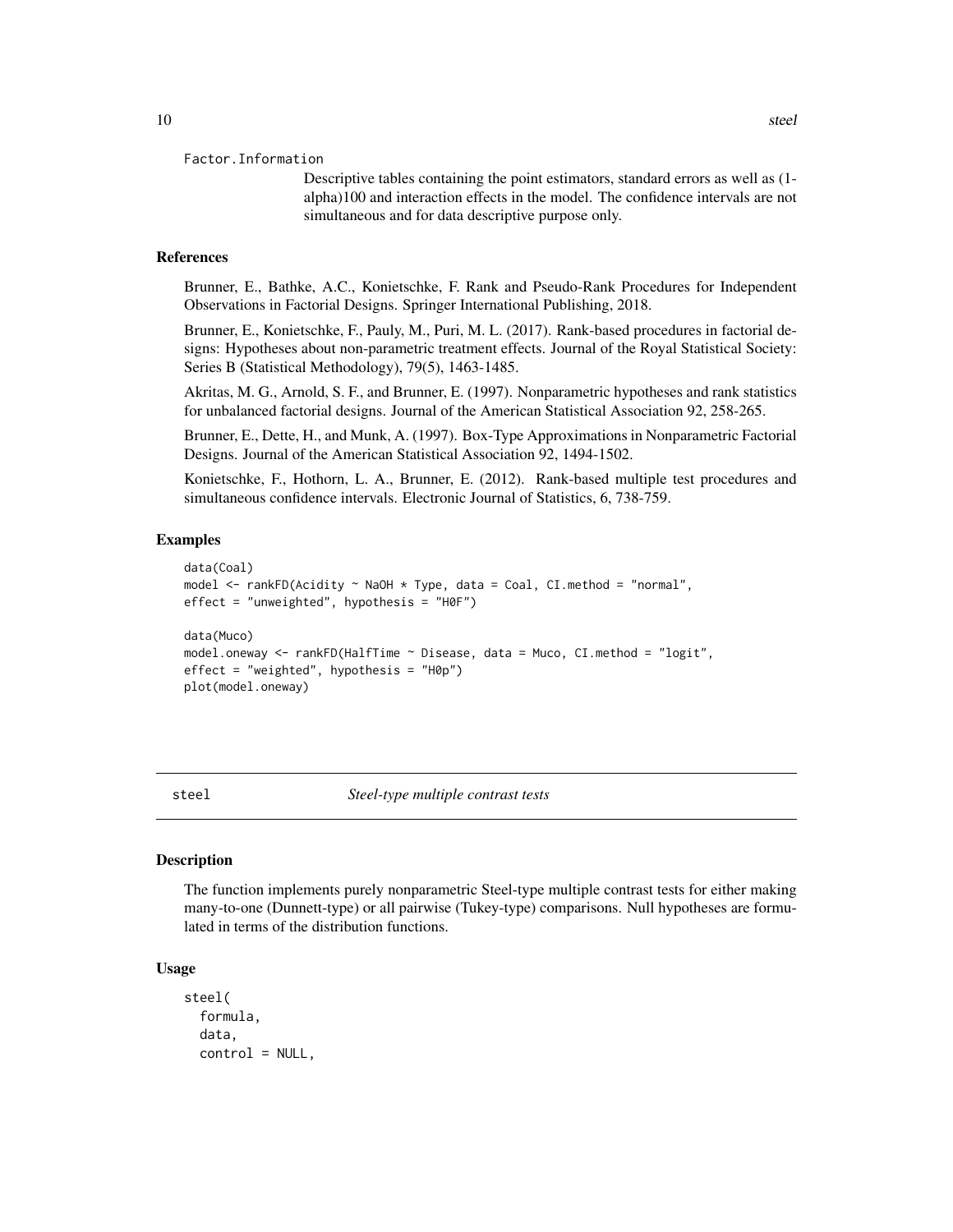Descriptive tables containing the point estimators, standard errors as well as (1 alpha)100 and interaction effects in the model. The confidence intervals are not simultaneous and for data descriptive purpose only.

#### <span id="page-9-0"></span>References

Brunner, E., Bathke, A.C., Konietschke, F. Rank and Pseudo-Rank Procedures for Independent Observations in Factorial Designs. Springer International Publishing, 2018.

Brunner, E., Konietschke, F., Pauly, M., Puri, M. L. (2017). Rank-based procedures in factorial designs: Hypotheses about non-parametric treatment effects. Journal of the Royal Statistical Society: Series B (Statistical Methodology), 79(5), 1463-1485.

Akritas, M. G., Arnold, S. F., and Brunner, E. (1997). Nonparametric hypotheses and rank statistics for unbalanced factorial designs. Journal of the American Statistical Association 92, 258-265.

Brunner, E., Dette, H., and Munk, A. (1997). Box-Type Approximations in Nonparametric Factorial Designs. Journal of the American Statistical Association 92, 1494-1502.

Konietschke, F., Hothorn, L. A., Brunner, E. (2012). Rank-based multiple test procedures and simultaneous confidence intervals. Electronic Journal of Statistics, 6, 738-759.

#### Examples

```
data(Coal)
model <- rankFD(Acidity ~ NaOH * Type, data = Coal, CI.method = "normal",
effect = "unweighted", hypothesis = "H0F")
data(Muco)
model.oneway <- rankFD(HalfTime ~ Disease, data = Muco, CI.method = "logit",
effect = "weighted", hypothesis = "H0p")
plot(model.oneway)
```
steel *Steel-type multiple contrast tests*

#### **Description**

The function implements purely nonparametric Steel-type multiple contrast tests for either making many-to-one (Dunnett-type) or all pairwise (Tukey-type) comparisons. Null hypotheses are formulated in terms of the distribution functions.

#### Usage

```
steel(
  formula,
  data,
  control = NULL,
```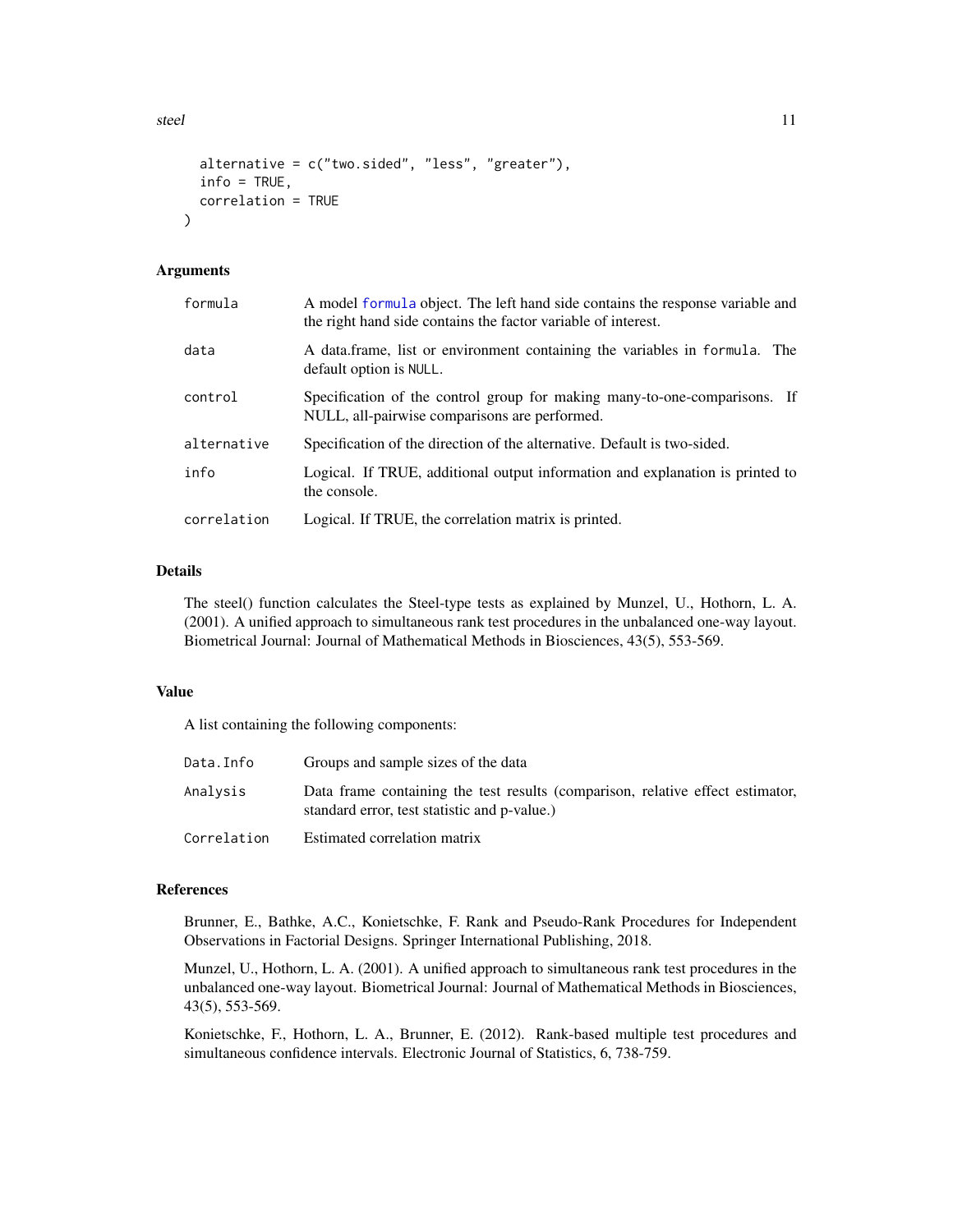<span id="page-10-0"></span>steel 11 and 12 and 20 and 20 and 20 and 20 and 20 and 20 and 20 and 20 and 20 and 20 and 20 and 20 and 20 and 20 and 20 and 20 and 20 and 20 and 20 and 20 and 20 and 20 and 20 and 20 and 20 and 20 and 20 and 20 and 20 and

```
alternative = c("two-sided", "less", "greater"),info = TRUE,correlation = TRUE
```
#### Arguments

)

| formula     | A model formula object. The left hand side contains the response variable and<br>the right hand side contains the factor variable of interest. |
|-------------|------------------------------------------------------------------------------------------------------------------------------------------------|
| data        | A data frame, list or environment containing the variables in formula. The<br>default option is NULL.                                          |
| control     | Specification of the control group for making many-to-one-comparisons. If<br>NULL, all-pairwise comparisons are performed.                     |
| alternative | Specification of the direction of the alternative. Default is two-sided.                                                                       |
| info        | Logical. If TRUE, additional output information and explanation is printed to<br>the console.                                                  |
| correlation | Logical. If TRUE, the correlation matrix is printed.                                                                                           |
|             |                                                                                                                                                |

#### Details

The steel() function calculates the Steel-type tests as explained by Munzel, U., Hothorn, L. A. (2001). A unified approach to simultaneous rank test procedures in the unbalanced one-way layout. Biometrical Journal: Journal of Mathematical Methods in Biosciences, 43(5), 553-569.

#### Value

A list containing the following components:

| Data.Info   | Groups and sample sizes of the data                                                                                            |
|-------------|--------------------------------------------------------------------------------------------------------------------------------|
| Analysis    | Data frame containing the test results (comparison, relative effect estimator,<br>standard error, test statistic and p-value.) |
| Correlation | Estimated correlation matrix                                                                                                   |

#### References

Brunner, E., Bathke, A.C., Konietschke, F. Rank and Pseudo-Rank Procedures for Independent Observations in Factorial Designs. Springer International Publishing, 2018.

Munzel, U., Hothorn, L. A. (2001). A unified approach to simultaneous rank test procedures in the unbalanced one-way layout. Biometrical Journal: Journal of Mathematical Methods in Biosciences, 43(5), 553-569.

Konietschke, F., Hothorn, L. A., Brunner, E. (2012). Rank-based multiple test procedures and simultaneous confidence intervals. Electronic Journal of Statistics, 6, 738-759.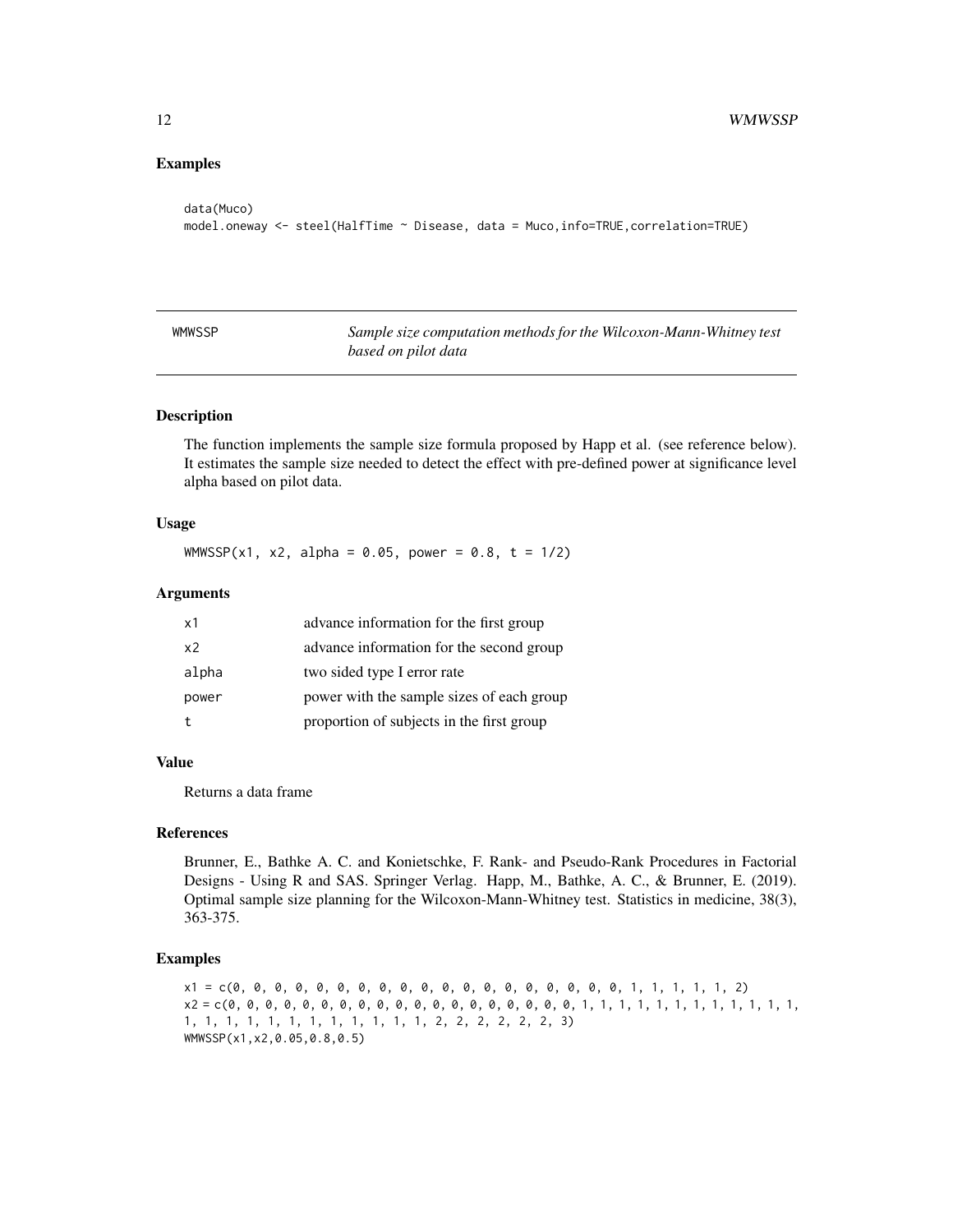#### <span id="page-11-0"></span>Examples

```
data(Muco)
model.oneway <- steel(HalfTime ~ Disease, data = Muco,info=TRUE,correlation=TRUE)
```

| WMWSSP | Sample size computation methods for the Wilcoxon-Mann-Whitney test |
|--------|--------------------------------------------------------------------|
|        | based on pilot data                                                |

#### Description

The function implements the sample size formula proposed by Happ et al. (see reference below). It estimates the sample size needed to detect the effect with pre-defined power at significance level alpha based on pilot data.

#### Usage

WMWSSP(x1, x2, alpha = 0.05, power = 0.8, t =  $1/2$ )

#### Arguments

| x1    | advance information for the first group   |
|-------|-------------------------------------------|
| x2    | advance information for the second group  |
| alpha | two sided type I error rate               |
| power | power with the sample sizes of each group |
| t     | proportion of subjects in the first group |

#### Value

Returns a data frame

#### References

Brunner, E., Bathke A. C. and Konietschke, F. Rank- and Pseudo-Rank Procedures in Factorial Designs - Using R and SAS. Springer Verlag. Happ, M., Bathke, A. C., & Brunner, E. (2019). Optimal sample size planning for the Wilcoxon-Mann-Whitney test. Statistics in medicine, 38(3), 363-375.

#### Examples

x1 = c(0, 0, 0, 0, 0, 0, 0, 0, 0, 0, 0, 0, 0, 0, 0, 0, 0, 0, 0, 1, 1, 1, 1, 1, 2) x2 = c(0, 0, 0, 0, 0, 0, 0, 0, 0, 0, 0, 0, 0, 0, 0, 0, 0, 0, 0, 1, 1, 1, 1, 1, 1, 1, 1, 1, 1, 1, 1, 1, 1, 1, 1, 1, 1, 1, 1, 1, 1, 1, 1, 2, 2, 2, 2, 2, 2, 3) WMWSSP(x1,x2,0.05,0.8,0.5)